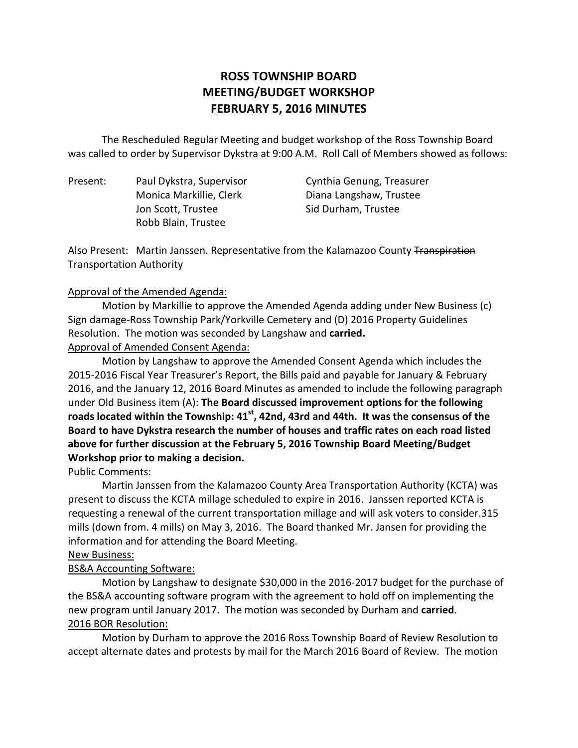# **ROSS TOWNSHIP BOARD MEETING/BUDGET WORKSHOP FEBRUARY 5, 2016 MINUTES**

 The Rescheduled Regular Meeting and budget workshop of the Ross Township Board was called to order by Supervisor Dykstra at 9:00 A.M. Roll Call of Members showed as follows:

Present: Jon Scott, Trustee Sid Durham, Trustee Robb Blain, Trustee

Paul Dykstra, Supervisor Cynthia Genung, Treasurer Monica Markillie, Clerk Diana Langshaw, Trustee

Also Present: Martin Janssen. Representative from the Kalamazoo County Transpiration Transportation Authority

#### Approval of the Amended Agenda:

 Motion by Markillie to approve the Amended Agenda adding under New Business (c) Sign damage-Ross Township Park/Yorkville Cemetery and (D) 2016 Property Guidelines Resolution. The motion was seconded by Langshaw and **carried.** 

Approval of Amended Consent Agenda:

 Motion by Langshaw to approve the Amended Consent Agenda which includes the 2015-2016 Fiscal Year Treasurer's Report, the Bills paid and payable for January & February 2016, and the January 12, 2016 Board Minutes as amended to include the following paragraph under Old Business item (A): **The Board discussed improvement options for the following**  roads located within the Township: 41<sup>st</sup>, 42nd, 43rd and 44th. It was the consensus of the  **Board to have Dykstra research the number of houses and traffic rates on each road listed above for further discussion at the February 5, 2016 Township Board Meeting/Budget Workshop prior to making a decision.** 

### Public Comments:

 Martin Janssen from the Kalamazoo County Area Transportation Authority (KCTA) was present to discuss the KCTA millage scheduled to expire in 2016. Janssen reported KCTA is requesting a renewal of the current transportation millage and will ask voters to consider.315 mills (down from. 4 mills) on May 3, 2016. The Board thanked Mr. Jansen for providing the information and for attending the Board Meeting.

#### New Business:

### BS&A Accounting Software:

 Motion by Langshaw to designate \$30,000 in the 2016-2017 budget for the purchase of the BS&A accounting software program with the agreement to hold off on implementing the new program until January 2017. The motion was seconded by Durham and **carried**. 2016 BOR Resolution:

 Motion by Durham to approve the 2016 Ross Township Board of Review Resolution to accept alternate dates and protests by mail for the March 2016 Board of Review. The motion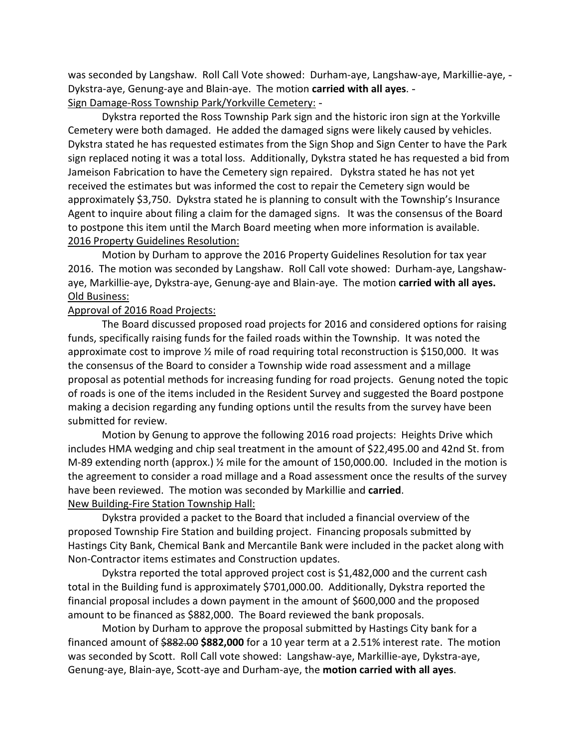was seconded by Langshaw. Roll Call Vote showed: Durham-aye, Langshaw-aye, Markillie-aye, - Dykstra-aye, Genung-aye and Blain-aye. The motion **carried with all ayes**. Sign Damage-Ross Township Park/Yorkville Cemetery: -

 Dykstra reported the Ross Township Park sign and the historic iron sign at the Yorkville Cemetery were both damaged. He added the damaged signs were likely caused by vehicles. Dykstra stated he has requested estimates from the Sign Shop and Sign Center to have the Park sign replaced noting it was a total loss. Additionally, Dykstra stated he has requested a bid from Jameison Fabrication to have the Cemetery sign repaired. Dykstra stated he has not yet received the estimates but was informed the cost to repair the Cemetery sign would be approximately \$3,750. Dykstra stated he is planning to consult with the Township's Insurance Agent to inquire about filing a claim for the damaged signs. It was the consensus of the Board to postpone this item until the March Board meeting when more information is available. 2016 Property Guidelines Resolution:

 Motion by Durham to approve the 2016 Property Guidelines Resolution for tax year 2016. The motion was seconded by Langshaw. Roll Call vote showed: Durham-aye, Langshaw- aye, Markillie-aye, Dykstra-aye, Genung-aye and Blain-aye. The motion **carried with all ayes.**  Old Business:

#### Approval of 2016 Road Projects:

 funds, specifically raising funds for the failed roads within the Township. It was noted the approximate cost to improve ½ mile of road requiring total reconstruction is \$150,000. It was the consensus of the Board to consider a Township wide road assessment and a millage proposal as potential methods for increasing funding for road projects. Genung noted the topic of roads is one of the items included in the Resident Survey and suggested the Board postpone making a decision regarding any funding options until the results from the survey have been submitted for review. The Board discussed proposed road projects for 2016 and considered options for raising

 Motion by Genung to approve the following 2016 road projects: Heights Drive which includes HMA wedging and chip seal treatment in the amount of \$22,495.00 and 42nd St. from M-89 extending north (approx.) ½ mile for the amount of 150,000.00. Included in the motion is the agreement to consider a road millage and a Road assessment once the results of the survey have been reviewed. The motion was seconded by Markillie and **carried**. New Building-Fire Station Township Hall:

 Dykstra provided a packet to the Board that included a financial overview of the proposed Township Fire Station and building project. Financing proposals submitted by Hastings City Bank, Chemical Bank and Mercantile Bank were included in the packet along with Non-Contractor items estimates and Construction updates.

 Dykstra reported the total approved project cost is \$1,482,000 and the current cash total in the Building fund is approximately \$701,000.00. Additionally, Dykstra reported the financial proposal includes a down payment in the amount of \$600,000 and the proposed amount to be financed as \$882,000. The Board reviewed the bank proposals.

 Motion by Durham to approve the proposal submitted by Hastings City bank for a financed amount of \$882.00 **\$882,000** for a 10 year term at a 2.51% interest rate. The motion was seconded by Scott. Roll Call vote showed: Langshaw-aye, Markillie-aye, Dykstra-aye, Genung-aye, Blain-aye, Scott-aye and Durham-aye, the **motion carried with all ayes**.